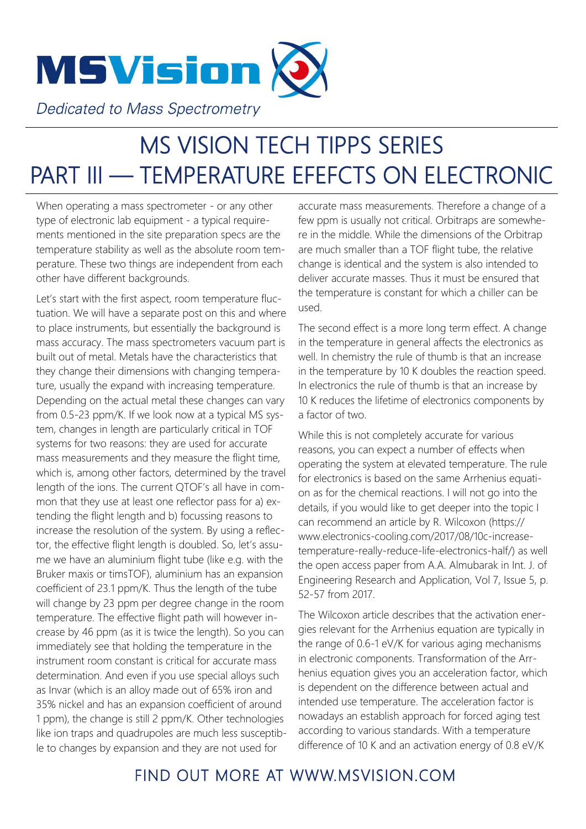

## MS VISION TECH TIPPS SERIES PART III - TEMPERATURE EFEFCTS ON ELECTRONIC

When operating a mass spectrometer - or any other type of electronic lab equipment - a typical requirements mentioned in the site preparation specs are the temperature stability as well as the absolute room temperature. These two things are independent from each other have different backgrounds.

Let's start with the first aspect, room temperature fluctuation. We will have a separate post on this and where to place instruments, but essentially the background is mass accuracy. The mass spectrometers vacuum part is built out of metal. Metals have the characteristics that they change their dimensions with changing temperature, usually the expand with increasing temperature. Depending on the actual metal these changes can vary from 0.5-23 ppm/K. If we look now at a typical MS system, changes in length are particularly critical in TOF systems for two reasons: they are used for accurate mass measurements and they measure the flight time, which is, among other factors, determined by the travel length of the ions. The current QTOF's all have in common that they use at least one reflector pass for a) extending the flight length and b) focussing reasons to increase the resolution of the system. By using a reflector, the effective flight length is doubled. So, let's assume we have an aluminium flight tube (like e.g. with the Bruker maxis or timsTOF), aluminium has an expansion coefficient of 23.1 ppm/K. Thus the length of the tube will change by 23 ppm per degree change in the room temperature. The effective flight path will however increase by 46 ppm (as it is twice the length). So you can immediately see that holding the temperature in the instrument room constant is critical for accurate mass determination. And even if you use special alloys such as Invar (which is an alloy made out of 65% iron and 35% nickel and has an expansion coefficient of around 1 ppm), the change is still 2 ppm/K. Other technologies like ion traps and quadrupoles are much less susceptible to changes by expansion and they are not used for

accurate mass measurements. Therefore a change of a few ppm is usually not critical. Orbitraps are somewhere in the middle. While the dimensions of the Orbitrap are much smaller than a TOF flight tube, the relative change is identical and the system is also intended to deliver accurate masses. Thus it must be ensured that the temperature is constant for which a chiller can be used.

The second effect is a more long term effect. A change in the temperature in general affects the electronics as well. In chemistry the rule of thumb is that an increase in the temperature by 10 K doubles the reaction speed. In electronics the rule of thumb is that an increase by 10 K reduces the lifetime of electronics components by a factor of two.

While this is not completely accurate for various reasons, you can expect a number of effects when operating the system at elevated temperature. The rule for electronics is based on the same Arrhenius equation as for the chemical reactions. I will not go into the details, if you would like to get deeper into the topic I can recommend an article by R. Wilcoxon (https:// www.electronics-cooling.com/2017/08/10c-increasetemperature-really-reduce-life-electronics-half/) as well the open access paper from A.A. Almubarak in Int. J. of Engineering Research and Application, Vol 7, Issue 5, p. 52-57 from 2017.

The Wilcoxon article describes that the activation energies relevant for the Arrhenius equation are typically in the range of 0.6-1 eV/K for various aging mechanisms in electronic components. Transformation of the Arrhenius equation gives you an acceleration factor, which is dependent on the difference between actual and intended use temperature. The acceleration factor is nowadays an establish approach for forced aging test according to various standards. With a temperature difference of 10 K and an activation energy of 0.8 eV/K

## FIND OUT MORE AT WWW.MSVISION.COM